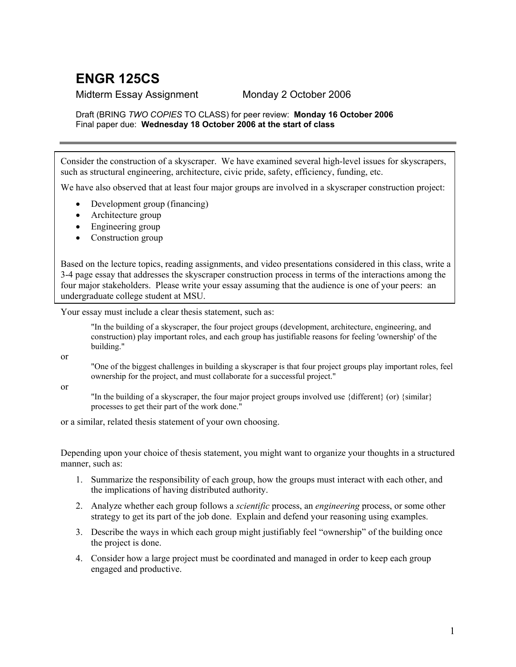## **ENGR 125CS**

## Midterm Essay Assignment Monday 2 October 2006

## Draft (BRING *TWO COPIES* TO CLASS) for peer review: **Monday 16 October 2006** Final paper due: **Wednesday 18 October 2006 at the start of class**

Consider the construction of a skyscraper. We have examined several high-level issues for skyscrapers, such as structural engineering, architecture, civic pride, safety, efficiency, funding, etc.

We have also observed that at least four major groups are involved in a skyscraper construction project:

- Development group (financing)
- Architecture group
- Engineering group
- Construction group

Based on the lecture topics, reading assignments, and video presentations considered in this class, write a 3-4 page essay that addresses the skyscraper construction process in terms of the interactions among the four major stakeholders. Please write your essay assuming that the audience is one of your peers: an undergraduate college student at MSU.

Your essay must include a clear thesis statement, such as:

"In the building of a skyscraper, the four project groups (development, architecture, engineering, and construction) play important roles, and each group has justifiable reasons for feeling 'ownership' of the building."

or

"One of the biggest challenges in building a skyscraper is that four project groups play important roles, feel ownership for the project, and must collaborate for a successful project."

or

"In the building of a skyscraper, the four major project groups involved use {different} (or) {similar} processes to get their part of the work done."

or a similar, related thesis statement of your own choosing.

Depending upon your choice of thesis statement, you might want to organize your thoughts in a structured manner, such as:

- 1. Summarize the responsibility of each group, how the groups must interact with each other, and the implications of having distributed authority.
- 2. Analyze whether each group follows a *scientific* process, an *engineering* process, or some other strategy to get its part of the job done. Explain and defend your reasoning using examples.
- 3. Describe the ways in which each group might justifiably feel "ownership" of the building once the project is done.
- 4. Consider how a large project must be coordinated and managed in order to keep each group engaged and productive.